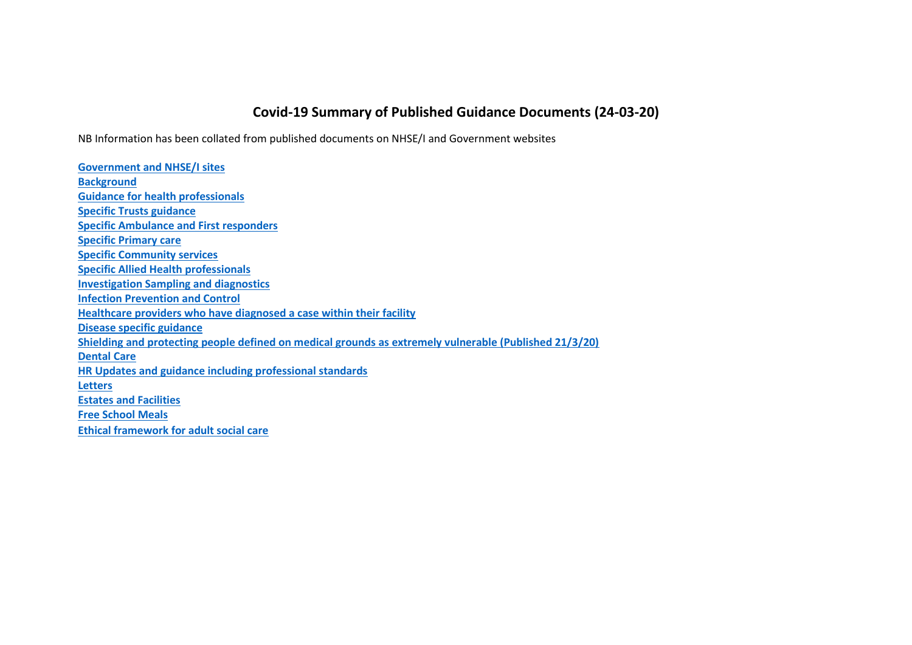## **Covid-19 Summary of Published Guidance Documents (24-03-20)**

NB Information has been collated from published documents on NHSE/I and Government websites

**[Government and NHSE/I sites](#page-1-0) [Background](#page-1-1) [Guidance for health professionals](#page-1-1) [Specific Trusts guidance](#page-2-0) [Specific Ambulance and First responders](#page-3-0) [Specific Primary care](#page-3-1) [Specific Community services](#page-4-0) [Specific Allied Health professionals](#page-4-1) [Investigation Sampling and diagnostics](#page-4-2) [Infection Prevention and Control](#page-6-0) [Healthcare providers who have diagnosed a case within their facility](#page-6-1) [Disease specific guidance](#page-7-0) [Shielding and protecting people defined on medical grounds as extremely vulnerable \(Published 21/3/20\)](#page-7-1) [Dental Care](#page-7-2) [HR Updates and guidance including professional standards](#page-7-3) [Letters](#page-8-0) [Estates and Facilities](#page-8-1) [Free School Meals](#page-11-0) [Ethical framework for adult social care](#page-11-1)**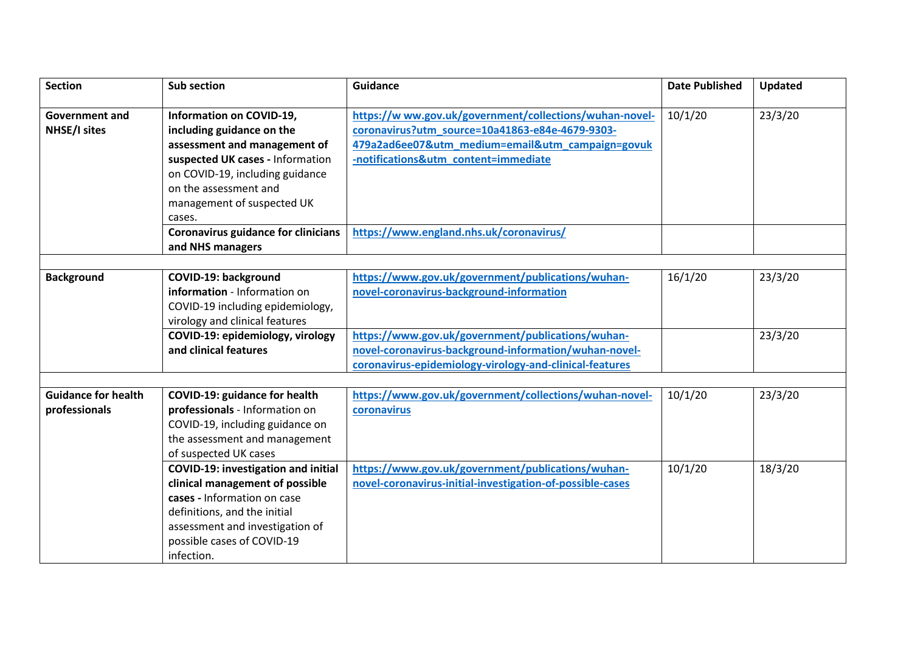<span id="page-1-1"></span><span id="page-1-0"></span>

| <b>Section</b>             | Sub section                                | <b>Guidance</b>                                           | <b>Date Published</b> | <b>Updated</b> |
|----------------------------|--------------------------------------------|-----------------------------------------------------------|-----------------------|----------------|
|                            |                                            |                                                           |                       |                |
| <b>Government and</b>      | Information on COVID-19,                   | https://www.gov.uk/government/collections/wuhan-novel-    | 10/1/20               | 23/3/20        |
| <b>NHSE/I sites</b>        | including guidance on the                  | coronavirus?utm_source=10a41863-e84e-4679-9303-           |                       |                |
|                            | assessment and management of               | 479a2ad6ee07&utm_medium=email&utm_campaign=govuk          |                       |                |
|                            | suspected UK cases - Information           | -notifications&utm_content=immediate                      |                       |                |
|                            | on COVID-19, including guidance            |                                                           |                       |                |
|                            | on the assessment and                      |                                                           |                       |                |
|                            | management of suspected UK                 |                                                           |                       |                |
|                            | cases.                                     |                                                           |                       |                |
|                            | <b>Coronavirus guidance for clinicians</b> | https://www.england.nhs.uk/coronavirus/                   |                       |                |
|                            | and NHS managers                           |                                                           |                       |                |
|                            |                                            |                                                           |                       |                |
| <b>Background</b>          | COVID-19: background                       | https://www.gov.uk/government/publications/wuhan-         | 16/1/20               | 23/3/20        |
|                            | information - Information on               | novel-coronavirus-background-information                  |                       |                |
|                            | COVID-19 including epidemiology,           |                                                           |                       |                |
|                            | virology and clinical features             |                                                           |                       |                |
|                            | COVID-19: epidemiology, virology           | https://www.gov.uk/government/publications/wuhan-         |                       | 23/3/20        |
|                            | and clinical features                      | novel-coronavirus-background-information/wuhan-novel-     |                       |                |
|                            |                                            | coronavirus-epidemiology-virology-and-clinical-features   |                       |                |
|                            |                                            |                                                           |                       |                |
| <b>Guidance for health</b> | <b>COVID-19: guidance for health</b>       | https://www.gov.uk/government/collections/wuhan-novel-    | 10/1/20               | 23/3/20        |
| professionals              | professionals - Information on             | coronavirus                                               |                       |                |
|                            | COVID-19, including guidance on            |                                                           |                       |                |
|                            | the assessment and management              |                                                           |                       |                |
|                            | of suspected UK cases                      |                                                           |                       |                |
|                            | <b>COVID-19: investigation and initial</b> | https://www.gov.uk/government/publications/wuhan-         | 10/1/20               | 18/3/20        |
|                            | clinical management of possible            | novel-coronavirus-initial-investigation-of-possible-cases |                       |                |
|                            | cases - Information on case                |                                                           |                       |                |
|                            | definitions, and the initial               |                                                           |                       |                |
|                            | assessment and investigation of            |                                                           |                       |                |
|                            | possible cases of COVID-19                 |                                                           |                       |                |
|                            | infection.                                 |                                                           |                       |                |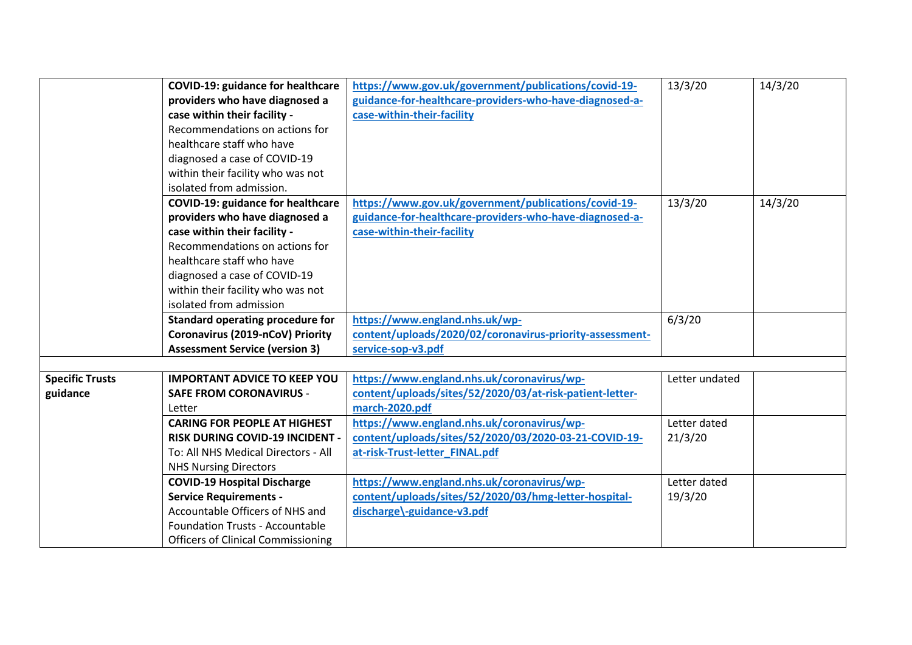<span id="page-2-0"></span>

|                        | <b>COVID-19: guidance for healthcare</b>  | https://www.gov.uk/government/publications/covid-19-     | 13/3/20        | 14/3/20 |
|------------------------|-------------------------------------------|----------------------------------------------------------|----------------|---------|
|                        | providers who have diagnosed a            | guidance-for-healthcare-providers-who-have-diagnosed-a-  |                |         |
|                        | case within their facility -              | case-within-their-facility                               |                |         |
|                        | Recommendations on actions for            |                                                          |                |         |
|                        | healthcare staff who have                 |                                                          |                |         |
|                        | diagnosed a case of COVID-19              |                                                          |                |         |
|                        | within their facility who was not         |                                                          |                |         |
|                        | isolated from admission.                  |                                                          |                |         |
|                        | <b>COVID-19: guidance for healthcare</b>  | https://www.gov.uk/government/publications/covid-19-     | 13/3/20        | 14/3/20 |
|                        | providers who have diagnosed a            | guidance-for-healthcare-providers-who-have-diagnosed-a-  |                |         |
|                        | case within their facility -              | case-within-their-facility                               |                |         |
|                        | Recommendations on actions for            |                                                          |                |         |
|                        | healthcare staff who have                 |                                                          |                |         |
|                        | diagnosed a case of COVID-19              |                                                          |                |         |
|                        | within their facility who was not         |                                                          |                |         |
|                        | isolated from admission                   |                                                          |                |         |
|                        | Standard operating procedure for          | https://www.england.nhs.uk/wp-                           | 6/3/20         |         |
|                        | Coronavirus (2019-nCoV) Priority          | content/uploads/2020/02/coronavirus-priority-assessment- |                |         |
|                        | <b>Assessment Service (version 3)</b>     | service-sop-v3.pdf                                       |                |         |
|                        |                                           |                                                          |                |         |
| <b>Specific Trusts</b> | <b>IMPORTANT ADVICE TO KEEP YOU</b>       | https://www.england.nhs.uk/coronavirus/wp-               | Letter undated |         |
| guidance               | <b>SAFE FROM CORONAVIRUS -</b>            | content/uploads/sites/52/2020/03/at-risk-patient-letter- |                |         |
|                        | Letter                                    | march-2020.pdf                                           |                |         |
|                        | <b>CARING FOR PEOPLE AT HIGHEST</b>       | https://www.england.nhs.uk/coronavirus/wp-               | Letter dated   |         |
|                        | <b>RISK DURING COVID-19 INCIDENT .</b>    | content/uploads/sites/52/2020/03/2020-03-21-COVID-19-    | 21/3/20        |         |
|                        | To: All NHS Medical Directors - All       | at-risk-Trust-letter_FINAL.pdf                           |                |         |
|                        | <b>NHS Nursing Directors</b>              |                                                          |                |         |
|                        | <b>COVID-19 Hospital Discharge</b>        | https://www.england.nhs.uk/coronavirus/wp-               | Letter dated   |         |
|                        | <b>Service Requirements -</b>             | content/uploads/sites/52/2020/03/hmg-letter-hospital-    | 19/3/20        |         |
|                        | Accountable Officers of NHS and           | discharge\-guidance-v3.pdf                               |                |         |
|                        | <b>Foundation Trusts - Accountable</b>    |                                                          |                |         |
|                        | <b>Officers of Clinical Commissioning</b> |                                                          |                |         |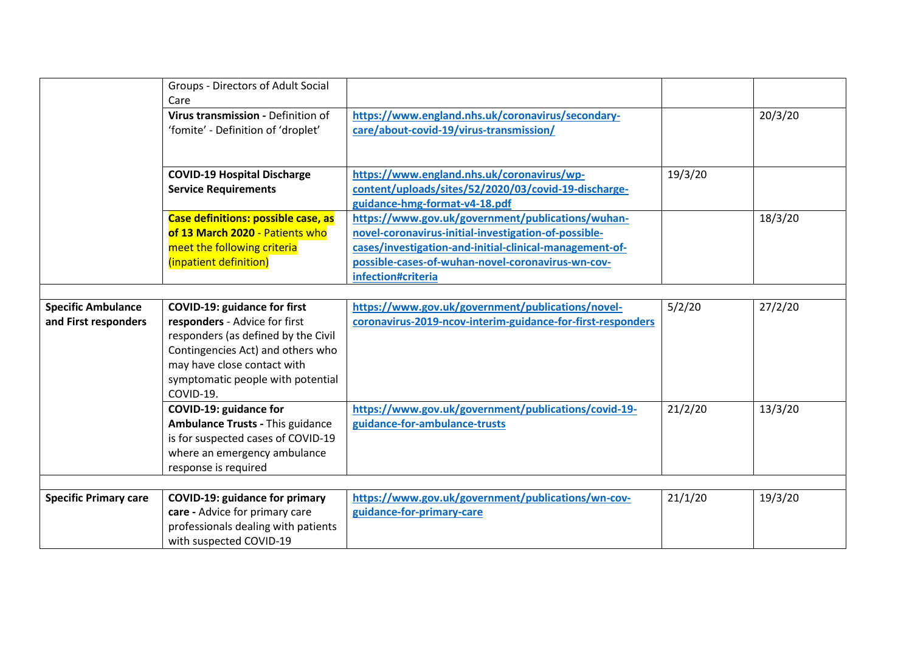<span id="page-3-1"></span><span id="page-3-0"></span>

|                                                   | <b>Groups - Directors of Adult Social</b><br>Care                                                                                                                                                                                 |                                                                                                                                                                                                                                                 |         |         |
|---------------------------------------------------|-----------------------------------------------------------------------------------------------------------------------------------------------------------------------------------------------------------------------------------|-------------------------------------------------------------------------------------------------------------------------------------------------------------------------------------------------------------------------------------------------|---------|---------|
|                                                   | Virus transmission - Definition of<br>'fomite' - Definition of 'droplet'                                                                                                                                                          | https://www.england.nhs.uk/coronavirus/secondary-<br>care/about-covid-19/virus-transmission/                                                                                                                                                    |         | 20/3/20 |
|                                                   | <b>COVID-19 Hospital Discharge</b><br><b>Service Requirements</b>                                                                                                                                                                 | https://www.england.nhs.uk/coronavirus/wp-<br>content/uploads/sites/52/2020/03/covid-19-discharge-<br>guidance-hmg-format-v4-18.pdf                                                                                                             | 19/3/20 |         |
|                                                   | Case definitions: possible case, as<br>of 13 March 2020 - Patients who<br>meet the following criteria<br>(inpatient definition)                                                                                                   | https://www.gov.uk/government/publications/wuhan-<br>novel-coronavirus-initial-investigation-of-possible-<br>cases/investigation-and-initial-clinical-management-of-<br>possible-cases-of-wuhan-novel-coronavirus-wn-cov-<br>infection#criteria |         | 18/3/20 |
|                                                   |                                                                                                                                                                                                                                   |                                                                                                                                                                                                                                                 |         |         |
| <b>Specific Ambulance</b><br>and First responders | <b>COVID-19: guidance for first</b><br>responders - Advice for first<br>responders (as defined by the Civil<br>Contingencies Act) and others who<br>may have close contact with<br>symptomatic people with potential<br>COVID-19. | https://www.gov.uk/government/publications/novel-<br>coronavirus-2019-ncov-interim-guidance-for-first-responders                                                                                                                                | 5/2/20  | 27/2/20 |
|                                                   | COVID-19: guidance for<br><b>Ambulance Trusts - This guidance</b><br>is for suspected cases of COVID-19<br>where an emergency ambulance<br>response is required                                                                   | https://www.gov.uk/government/publications/covid-19-<br>guidance-for-ambulance-trusts                                                                                                                                                           | 21/2/20 | 13/3/20 |
| <b>Specific Primary care</b>                      | <b>COVID-19: guidance for primary</b><br>care - Advice for primary care<br>professionals dealing with patients<br>with suspected COVID-19                                                                                         | https://www.gov.uk/government/publications/wn-cov-<br>guidance-for-primary-care                                                                                                                                                                 | 21/1/20 | 19/3/20 |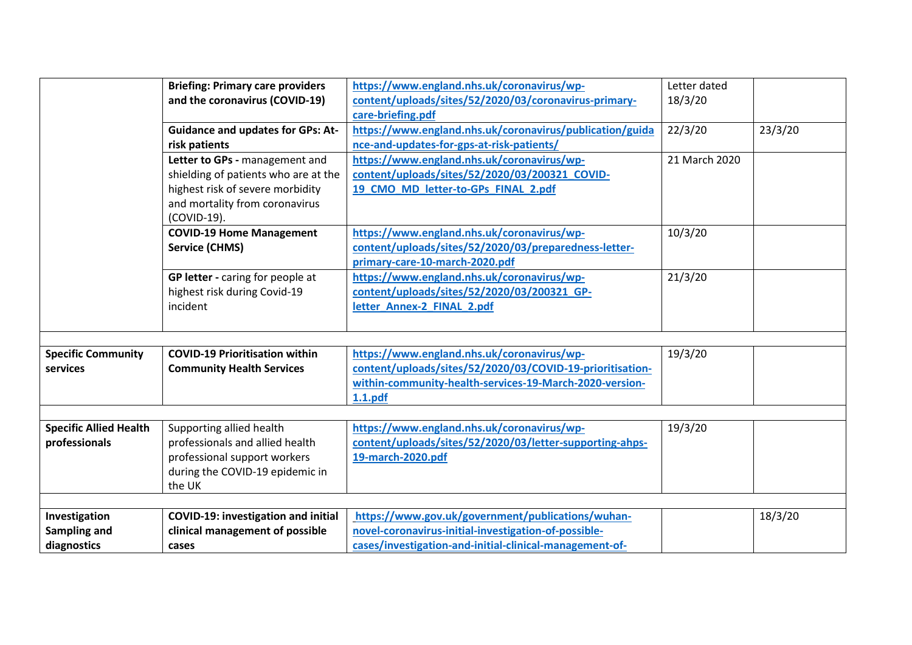<span id="page-4-2"></span><span id="page-4-1"></span><span id="page-4-0"></span>

|                               | <b>Briefing: Primary care providers</b>    | https://www.england.nhs.uk/coronavirus/wp-                | Letter dated  |         |
|-------------------------------|--------------------------------------------|-----------------------------------------------------------|---------------|---------|
|                               | and the coronavirus (COVID-19)             | content/uploads/sites/52/2020/03/coronavirus-primary-     | 18/3/20       |         |
|                               |                                            | care-briefing.pdf                                         |               |         |
|                               | <b>Guidance and updates for GPs: At-</b>   | https://www.england.nhs.uk/coronavirus/publication/guida  | 22/3/20       | 23/3/20 |
|                               | risk patients                              | nce-and-updates-for-gps-at-risk-patients/                 |               |         |
|                               | Letter to GPs - management and             | https://www.england.nhs.uk/coronavirus/wp-                | 21 March 2020 |         |
|                               | shielding of patients who are at the       | content/uploads/sites/52/2020/03/200321_COVID-            |               |         |
|                               | highest risk of severe morbidity           | 19 CMO MD letter-to-GPs FINAL 2.pdf                       |               |         |
|                               | and mortality from coronavirus             |                                                           |               |         |
|                               | (COVID-19).                                |                                                           |               |         |
|                               | <b>COVID-19 Home Management</b>            | https://www.england.nhs.uk/coronavirus/wp-                | 10/3/20       |         |
|                               | <b>Service (CHMS)</b>                      | content/uploads/sites/52/2020/03/preparedness-letter-     |               |         |
|                               |                                            | primary-care-10-march-2020.pdf                            |               |         |
|                               | GP letter - caring for people at           | https://www.england.nhs.uk/coronavirus/wp-                | 21/3/20       |         |
|                               | highest risk during Covid-19               | content/uploads/sites/52/2020/03/200321 GP-               |               |         |
|                               | incident                                   | letter Annex-2 FINAL 2.pdf                                |               |         |
|                               |                                            |                                                           |               |         |
|                               |                                            |                                                           |               |         |
| <b>Specific Community</b>     | <b>COVID-19 Prioritisation within</b>      | https://www.england.nhs.uk/coronavirus/wp-                | 19/3/20       |         |
| services                      | <b>Community Health Services</b>           | content/uploads/sites/52/2020/03/COVID-19-prioritisation- |               |         |
|                               |                                            | within-community-health-services-19-March-2020-version-   |               |         |
|                               |                                            | 1.1.pdf                                                   |               |         |
|                               |                                            |                                                           |               |         |
| <b>Specific Allied Health</b> | Supporting allied health                   | https://www.england.nhs.uk/coronavirus/wp-                | 19/3/20       |         |
| professionals                 | professionals and allied health            | content/uploads/sites/52/2020/03/letter-supporting-ahps-  |               |         |
|                               | professional support workers               | 19-march-2020.pdf                                         |               |         |
|                               | during the COVID-19 epidemic in            |                                                           |               |         |
|                               | the UK                                     |                                                           |               |         |
|                               |                                            |                                                           |               |         |
| Investigation                 | <b>COVID-19: investigation and initial</b> | https://www.gov.uk/government/publications/wuhan-         |               | 18/3/20 |
| Sampling and                  | clinical management of possible            | novel-coronavirus-initial-investigation-of-possible-      |               |         |
| diagnostics                   | cases                                      | cases/investigation-and-initial-clinical-management-of-   |               |         |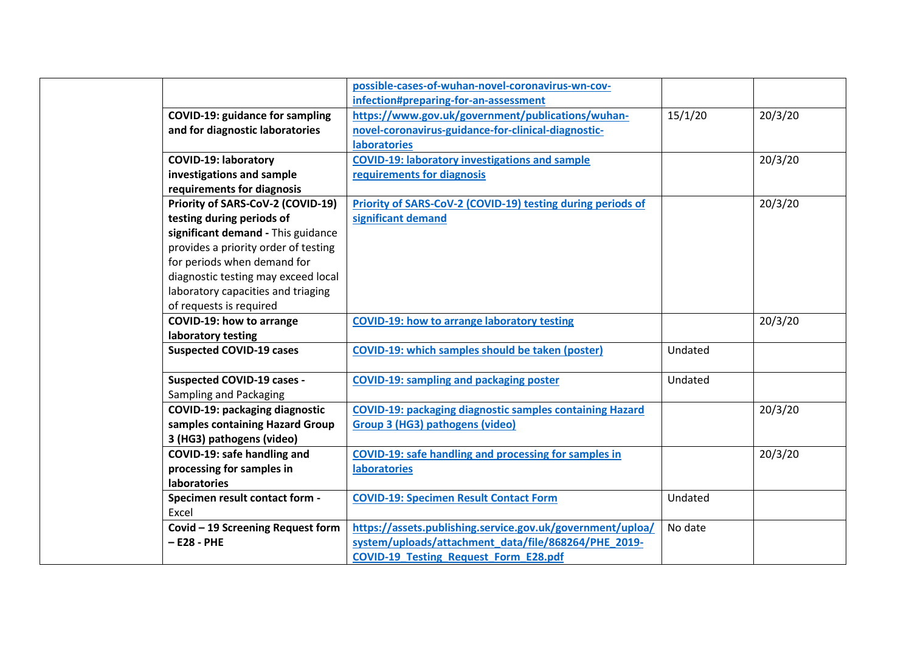|                                        | possible-cases-of-wuhan-novel-coronavirus-wn-cov-                  |         |         |
|----------------------------------------|--------------------------------------------------------------------|---------|---------|
|                                        | infection#preparing-for-an-assessment                              |         |         |
| <b>COVID-19: guidance for sampling</b> | https://www.gov.uk/government/publications/wuhan-                  | 15/1/20 | 20/3/20 |
| and for diagnostic laboratories        | novel-coronavirus-guidance-for-clinical-diagnostic-                |         |         |
|                                        | <b>laboratories</b>                                                |         |         |
| <b>COVID-19: laboratory</b>            | <b>COVID-19: laboratory investigations and sample</b>              |         | 20/3/20 |
| investigations and sample              | requirements for diagnosis                                         |         |         |
| requirements for diagnosis             |                                                                    |         |         |
| Priority of SARS-CoV-2 (COVID-19)      | <b>Priority of SARS-CoV-2 (COVID-19) testing during periods of</b> |         | 20/3/20 |
| testing during periods of              | significant demand                                                 |         |         |
| significant demand - This guidance     |                                                                    |         |         |
| provides a priority order of testing   |                                                                    |         |         |
| for periods when demand for            |                                                                    |         |         |
| diagnostic testing may exceed local    |                                                                    |         |         |
| laboratory capacities and triaging     |                                                                    |         |         |
| of requests is required                |                                                                    |         |         |
| <b>COVID-19: how to arrange</b>        | <b>COVID-19: how to arrange laboratory testing</b>                 |         | 20/3/20 |
| laboratory testing                     |                                                                    |         |         |
| <b>Suspected COVID-19 cases</b>        | <b>COVID-19: which samples should be taken (poster)</b>            | Undated |         |
|                                        |                                                                    |         |         |
| Suspected COVID-19 cases -             | <b>COVID-19: sampling and packaging poster</b>                     | Undated |         |
| Sampling and Packaging                 |                                                                    |         |         |
| COVID-19: packaging diagnostic         | <b>COVID-19: packaging diagnostic samples containing Hazard</b>    |         | 20/3/20 |
| samples containing Hazard Group        | Group 3 (HG3) pathogens (video)                                    |         |         |
| 3 (HG3) pathogens (video)              |                                                                    |         |         |
| COVID-19: safe handling and            | <b>COVID-19: safe handling and processing for samples in</b>       |         | 20/3/20 |
| processing for samples in              | <b>laboratories</b>                                                |         |         |
| <b>laboratories</b>                    |                                                                    |         |         |
| Specimen result contact form -         | <b>COVID-19: Specimen Result Contact Form</b>                      | Undated |         |
| Excel                                  |                                                                    |         |         |
| Covid - 19 Screening Request form      | https://assets.publishing.service.gov.uk/government/uploa/         | No date |         |
| $- E28 - PHE$                          | system/uploads/attachment_data/file/868264/PHE_2019-               |         |         |
|                                        | <b>COVID-19 Testing Request Form E28.pdf</b>                       |         |         |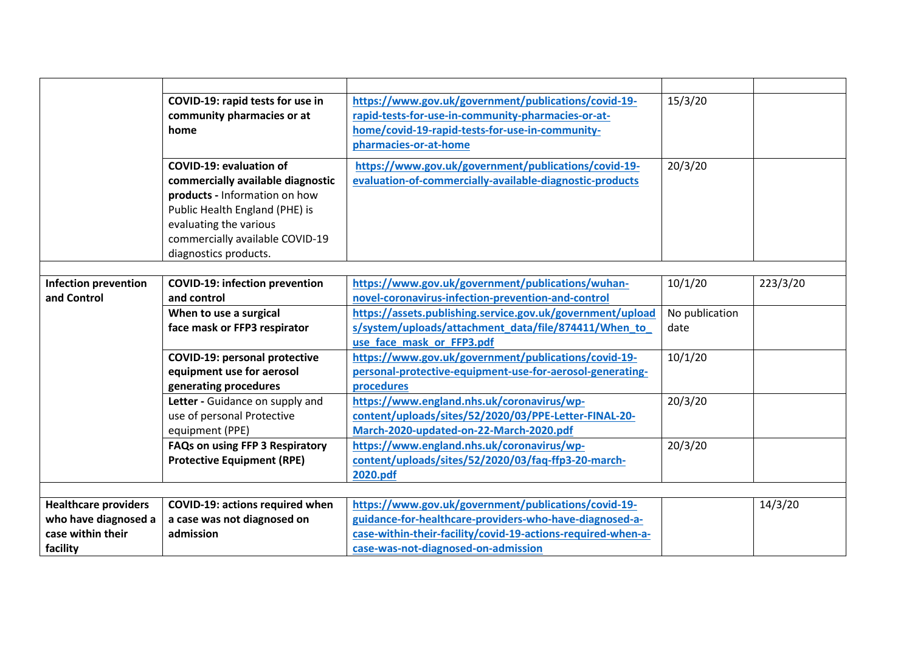<span id="page-6-1"></span><span id="page-6-0"></span>

|                             | COVID-19: rapid tests for use in       | https://www.gov.uk/government/publications/covid-19-         | 15/3/20        |          |
|-----------------------------|----------------------------------------|--------------------------------------------------------------|----------------|----------|
|                             | community pharmacies or at             | rapid-tests-for-use-in-community-pharmacies-or-at-           |                |          |
|                             | home                                   | home/covid-19-rapid-tests-for-use-in-community-              |                |          |
|                             |                                        | pharmacies-or-at-home                                        |                |          |
|                             | <b>COVID-19: evaluation of</b>         | https://www.gov.uk/government/publications/covid-19-         | 20/3/20        |          |
|                             | commercially available diagnostic      | evaluation-of-commercially-available-diagnostic-products     |                |          |
|                             | products - Information on how          |                                                              |                |          |
|                             | Public Health England (PHE) is         |                                                              |                |          |
|                             | evaluating the various                 |                                                              |                |          |
|                             | commercially available COVID-19        |                                                              |                |          |
|                             | diagnostics products.                  |                                                              |                |          |
|                             |                                        |                                                              |                |          |
| <b>Infection prevention</b> | <b>COVID-19: infection prevention</b>  | https://www.gov.uk/government/publications/wuhan-            | 10/1/20        | 223/3/20 |
| and Control                 | and control                            | novel-coronavirus-infection-prevention-and-control           |                |          |
|                             | When to use a surgical                 | https://assets.publishing.service.gov.uk/government/upload   | No publication |          |
|                             | face mask or FFP3 respirator           | s/system/uploads/attachment_data/file/874411/When_to         | date           |          |
|                             |                                        | use face mask or FFP3.pdf                                    |                |          |
|                             | <b>COVID-19: personal protective</b>   | https://www.gov.uk/government/publications/covid-19-         | 10/1/20        |          |
|                             | equipment use for aerosol              | personal-protective-equipment-use-for-aerosol-generating-    |                |          |
|                             | generating procedures                  | procedures                                                   |                |          |
|                             | Letter - Guidance on supply and        | https://www.england.nhs.uk/coronavirus/wp-                   | 20/3/20        |          |
|                             | use of personal Protective             | content/uploads/sites/52/2020/03/PPE-Letter-FINAL-20-        |                |          |
|                             | equipment (PPE)                        | March-2020-updated-on-22-March-2020.pdf                      |                |          |
|                             | FAQs on using FFP 3 Respiratory        | https://www.england.nhs.uk/coronavirus/wp-                   | 20/3/20        |          |
|                             | <b>Protective Equipment (RPE)</b>      | content/uploads/sites/52/2020/03/faq-ffp3-20-march-          |                |          |
|                             |                                        | 2020.pdf                                                     |                |          |
|                             |                                        |                                                              |                |          |
| <b>Healthcare providers</b> | <b>COVID-19: actions required when</b> | https://www.gov.uk/government/publications/covid-19-         |                | 14/3/20  |
| who have diagnosed a        | a case was not diagnosed on            | guidance-for-healthcare-providers-who-have-diagnosed-a-      |                |          |
| case within their           | admission                              | case-within-their-facility/covid-19-actions-required-when-a- |                |          |
| facility                    |                                        | case-was-not-diagnosed-on-admission                          |                |          |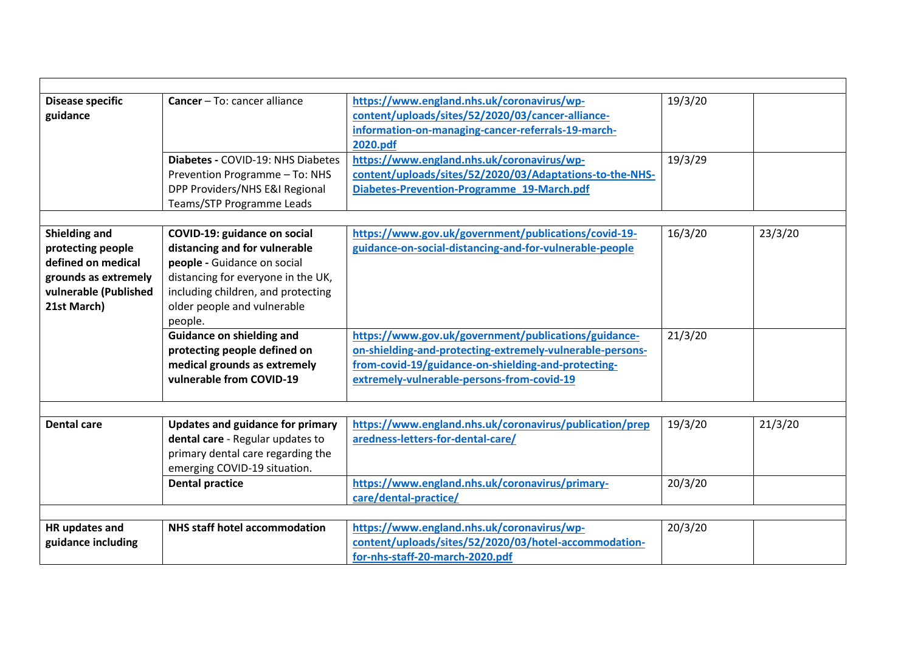<span id="page-7-3"></span><span id="page-7-2"></span><span id="page-7-1"></span><span id="page-7-0"></span>

| <b>Disease specific</b><br>guidance                                                                                      | Cancer - To: cancer alliance<br>Diabetes - COVID-19: NHS Diabetes<br>Prevention Programme - To: NHS                                                                                                                       | https://www.england.nhs.uk/coronavirus/wp-<br>content/uploads/sites/52/2020/03/cancer-alliance-<br>information-on-managing-cancer-referrals-19-march-<br>2020.pdf<br>https://www.england.nhs.uk/coronavirus/wp-<br>content/uploads/sites/52/2020/03/Adaptations-to-the-NHS- | 19/3/20<br>19/3/29 |         |
|--------------------------------------------------------------------------------------------------------------------------|---------------------------------------------------------------------------------------------------------------------------------------------------------------------------------------------------------------------------|-----------------------------------------------------------------------------------------------------------------------------------------------------------------------------------------------------------------------------------------------------------------------------|--------------------|---------|
|                                                                                                                          | DPP Providers/NHS E&I Regional                                                                                                                                                                                            | Diabetes-Prevention-Programme 19-March.pdf                                                                                                                                                                                                                                  |                    |         |
|                                                                                                                          | Teams/STP Programme Leads                                                                                                                                                                                                 |                                                                                                                                                                                                                                                                             |                    |         |
| Shielding and<br>protecting people<br>defined on medical<br>grounds as extremely<br>vulnerable (Published<br>21st March) | <b>COVID-19: guidance on social</b><br>distancing and for vulnerable<br>people - Guidance on social<br>distancing for everyone in the UK,<br>including children, and protecting<br>older people and vulnerable<br>people. | https://www.gov.uk/government/publications/covid-19-<br>guidance-on-social-distancing-and-for-vulnerable-people                                                                                                                                                             | 16/3/20            | 23/3/20 |
|                                                                                                                          | <b>Guidance on shielding and</b><br>protecting people defined on<br>medical grounds as extremely<br>vulnerable from COVID-19                                                                                              | https://www.gov.uk/government/publications/guidance-<br>on-shielding-and-protecting-extremely-vulnerable-persons-<br>from-covid-19/guidance-on-shielding-and-protecting-<br>extremely-vulnerable-persons-from-covid-19                                                      | 21/3/20            |         |
| <b>Dental care</b>                                                                                                       | Updates and guidance for primary<br>dental care - Regular updates to<br>primary dental care regarding the<br>emerging COVID-19 situation.                                                                                 | https://www.england.nhs.uk/coronavirus/publication/prep<br>aredness-letters-for-dental-care/                                                                                                                                                                                | 19/3/20            | 21/3/20 |
|                                                                                                                          | <b>Dental practice</b>                                                                                                                                                                                                    | https://www.england.nhs.uk/coronavirus/primary-<br>care/dental-practice/                                                                                                                                                                                                    | 20/3/20            |         |
|                                                                                                                          |                                                                                                                                                                                                                           |                                                                                                                                                                                                                                                                             |                    |         |
| HR updates and<br>guidance including                                                                                     | <b>NHS staff hotel accommodation</b>                                                                                                                                                                                      | https://www.england.nhs.uk/coronavirus/wp-<br>content/uploads/sites/52/2020/03/hotel-accommodation-<br>for-nhs-staff-20-march-2020.pdf                                                                                                                                      | 20/3/20            |         |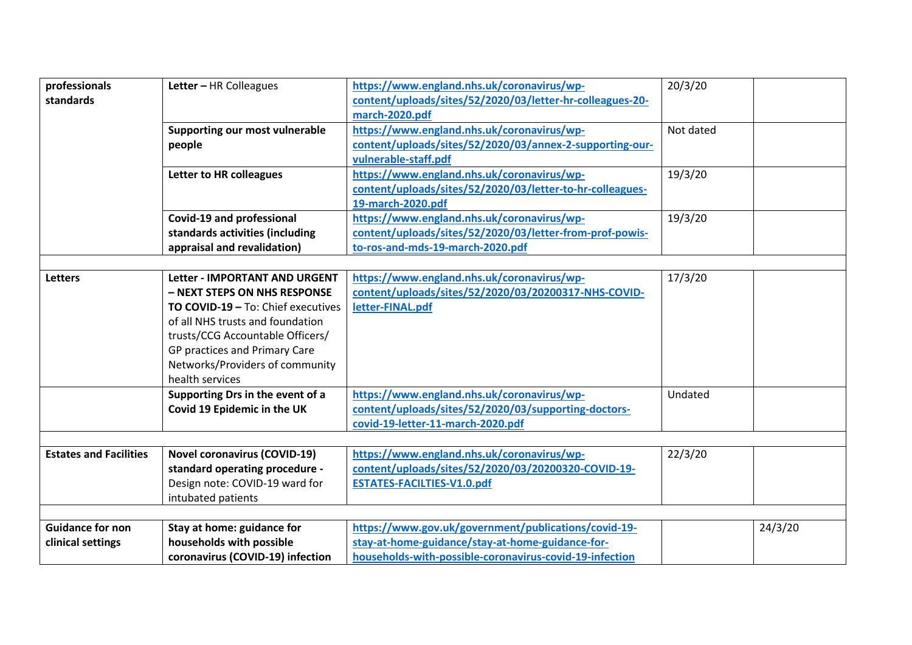<span id="page-8-1"></span><span id="page-8-0"></span>

| professionals                 | Letter - HR Colleagues                    | https://www.england.nhs.uk/coronavirus/wp-                | 20/3/20   |         |
|-------------------------------|-------------------------------------------|-----------------------------------------------------------|-----------|---------|
| standards                     |                                           | content/uploads/sites/52/2020/03/letter-hr-colleagues-20- |           |         |
|                               |                                           | march-2020.pdf                                            |           |         |
|                               | Supporting our most vulnerable            | https://www.england.nhs.uk/coronavirus/wp-                | Not dated |         |
|                               | people                                    | content/uploads/sites/52/2020/03/annex-2-supporting-our-  |           |         |
|                               |                                           | vulnerable-staff.pdf                                      |           |         |
|                               | Letter to HR colleagues                   | https://www.england.nhs.uk/coronavirus/wp-                | 19/3/20   |         |
|                               |                                           | content/uploads/sites/52/2020/03/letter-to-hr-colleagues- |           |         |
|                               |                                           | 19-march-2020.pdf                                         |           |         |
|                               | Covid-19 and professional                 | https://www.england.nhs.uk/coronavirus/wp-                | 19/3/20   |         |
|                               | standards activities (including           | content/uploads/sites/52/2020/03/letter-from-prof-powis-  |           |         |
|                               | appraisal and revalidation)               | to-ros-and-mds-19-march-2020.pdf                          |           |         |
|                               |                                           |                                                           |           |         |
| <b>Letters</b>                | <b>Letter - IMPORTANT AND URGENT</b>      | https://www.england.nhs.uk/coronavirus/wp-                | 17/3/20   |         |
|                               | - NEXT STEPS ON NHS RESPONSE              | content/uploads/sites/52/2020/03/20200317-NHS-COVID-      |           |         |
|                               | <b>TO COVID-19 - To: Chief executives</b> | letter-FINAL.pdf                                          |           |         |
|                               | of all NHS trusts and foundation          |                                                           |           |         |
|                               | trusts/CCG Accountable Officers/          |                                                           |           |         |
|                               | GP practices and Primary Care             |                                                           |           |         |
|                               | Networks/Providers of community           |                                                           |           |         |
|                               | health services                           |                                                           |           |         |
|                               | Supporting Drs in the event of a          | https://www.england.nhs.uk/coronavirus/wp-                | Undated   |         |
|                               | Covid 19 Epidemic in the UK               | content/uploads/sites/52/2020/03/supporting-doctors-      |           |         |
|                               |                                           | covid-19-letter-11-march-2020.pdf                         |           |         |
|                               |                                           |                                                           |           |         |
| <b>Estates and Facilities</b> | <b>Novel coronavirus (COVID-19)</b>       | https://www.england.nhs.uk/coronavirus/wp-                | 22/3/20   |         |
|                               | standard operating procedure -            | content/uploads/sites/52/2020/03/20200320-COVID-19-       |           |         |
|                               | Design note: COVID-19 ward for            | <b>ESTATES-FACILTIES-V1.0.pdf</b>                         |           |         |
|                               | intubated patients                        |                                                           |           |         |
|                               |                                           |                                                           |           |         |
| <b>Guidance for non</b>       | Stay at home: guidance for                | https://www.gov.uk/government/publications/covid-19-      |           | 24/3/20 |
| clinical settings             | households with possible                  | stay-at-home-guidance/stay-at-home-guidance-for-          |           |         |
|                               | coronavirus (COVID-19) infection          | households-with-possible-coronavirus-covid-19-infection   |           |         |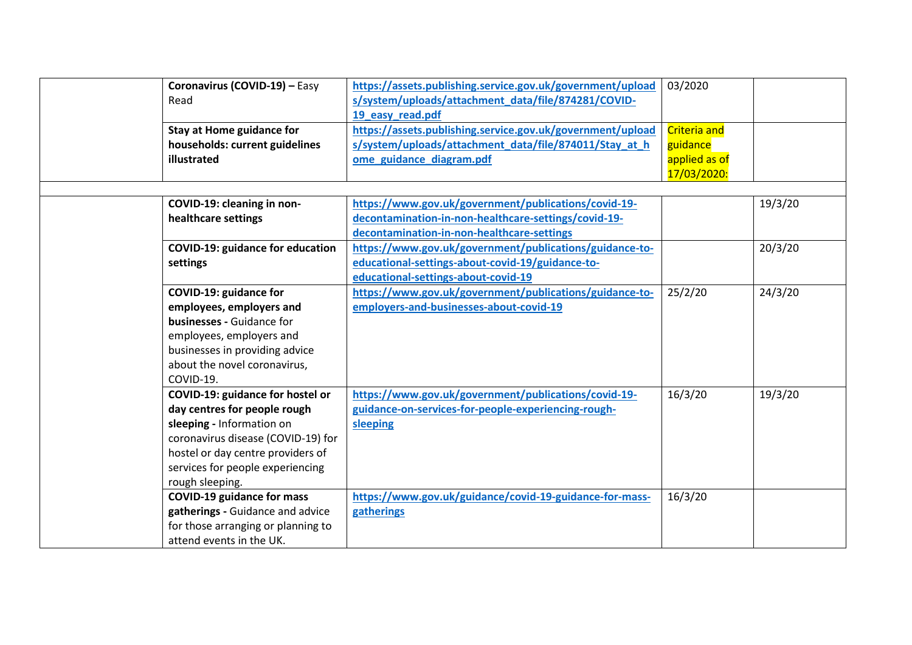| Coronavirus (COVID-19) - Easy           | https://assets.publishing.service.gov.uk/government/upload | 03/2020             |         |
|-----------------------------------------|------------------------------------------------------------|---------------------|---------|
| Read                                    | s/system/uploads/attachment_data/file/874281/COVID-        |                     |         |
|                                         | 19 easy read.pdf                                           |                     |         |
| <b>Stay at Home guidance for</b>        | https://assets.publishing.service.gov.uk/government/upload | <b>Criteria and</b> |         |
| households: current guidelines          | s/system/uploads/attachment_data/file/874011/Stay_at_h     | guidance            |         |
| illustrated                             | ome guidance diagram.pdf                                   | applied as of       |         |
|                                         |                                                            | 17/03/2020:         |         |
|                                         |                                                            |                     |         |
| COVID-19: cleaning in non-              | https://www.gov.uk/government/publications/covid-19-       |                     | 19/3/20 |
| healthcare settings                     | decontamination-in-non-healthcare-settings/covid-19-       |                     |         |
|                                         | decontamination-in-non-healthcare-settings                 |                     |         |
| <b>COVID-19: guidance for education</b> | https://www.gov.uk/government/publications/guidance-to-    |                     | 20/3/20 |
| settings                                | educational-settings-about-covid-19/guidance-to-           |                     |         |
|                                         | educational-settings-about-covid-19                        |                     |         |
| COVID-19: guidance for                  | https://www.gov.uk/government/publications/guidance-to-    | 25/2/20             | 24/3/20 |
| employees, employers and                | employers-and-businesses-about-covid-19                    |                     |         |
| businesses - Guidance for               |                                                            |                     |         |
| employees, employers and                |                                                            |                     |         |
| businesses in providing advice          |                                                            |                     |         |
| about the novel coronavirus,            |                                                            |                     |         |
| COVID-19.                               |                                                            |                     |         |
| COVID-19: guidance for hostel or        | https://www.gov.uk/government/publications/covid-19-       | 16/3/20             | 19/3/20 |
| day centres for people rough            | guidance-on-services-for-people-experiencing-rough-        |                     |         |
| sleeping - Information on               | sleeping                                                   |                     |         |
| coronavirus disease (COVID-19) for      |                                                            |                     |         |
| hostel or day centre providers of       |                                                            |                     |         |
| services for people experiencing        |                                                            |                     |         |
| rough sleeping.                         |                                                            |                     |         |
| <b>COVID-19 guidance for mass</b>       | https://www.gov.uk/guidance/covid-19-guidance-for-mass-    | 16/3/20             |         |
| gatherings - Guidance and advice        | gatherings                                                 |                     |         |
| for those arranging or planning to      |                                                            |                     |         |
| attend events in the UK.                |                                                            |                     |         |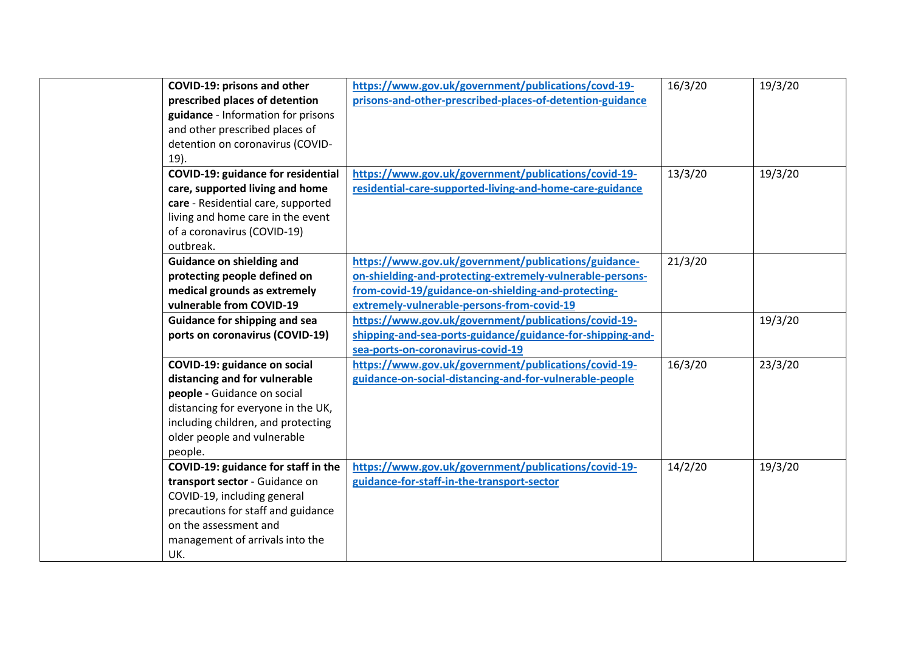| COVID-19: prisons and other               | https://www.gov.uk/government/publications/covd-19-        | 16/3/20 | 19/3/20 |
|-------------------------------------------|------------------------------------------------------------|---------|---------|
| prescribed places of detention            | prisons-and-other-prescribed-places-of-detention-guidance  |         |         |
| guidance - Information for prisons        |                                                            |         |         |
| and other prescribed places of            |                                                            |         |         |
| detention on coronavirus (COVID-          |                                                            |         |         |
| 19).                                      |                                                            |         |         |
| <b>COVID-19: guidance for residential</b> | https://www.gov.uk/government/publications/covid-19-       | 13/3/20 | 19/3/20 |
| care, supported living and home           | residential-care-supported-living-and-home-care-guidance   |         |         |
| care - Residential care, supported        |                                                            |         |         |
| living and home care in the event         |                                                            |         |         |
| of a coronavirus (COVID-19)               |                                                            |         |         |
| outbreak.                                 |                                                            |         |         |
| <b>Guidance on shielding and</b>          | https://www.gov.uk/government/publications/guidance-       | 21/3/20 |         |
| protecting people defined on              | on-shielding-and-protecting-extremely-vulnerable-persons-  |         |         |
| medical grounds as extremely              | from-covid-19/guidance-on-shielding-and-protecting-        |         |         |
| vulnerable from COVID-19                  | extremely-vulnerable-persons-from-covid-19                 |         |         |
| <b>Guidance for shipping and sea</b>      | https://www.gov.uk/government/publications/covid-19-       |         | 19/3/20 |
| ports on coronavirus (COVID-19)           | shipping-and-sea-ports-guidance/guidance-for-shipping-and- |         |         |
|                                           | sea-ports-on-coronavirus-covid-19                          |         |         |
| COVID-19: guidance on social              | https://www.gov.uk/government/publications/covid-19-       | 16/3/20 | 23/3/20 |
| distancing and for vulnerable             | guidance-on-social-distancing-and-for-vulnerable-people    |         |         |
| people - Guidance on social               |                                                            |         |         |
| distancing for everyone in the UK,        |                                                            |         |         |
| including children, and protecting        |                                                            |         |         |
| older people and vulnerable               |                                                            |         |         |
| people.                                   |                                                            |         |         |
| COVID-19: guidance for staff in the       | https://www.gov.uk/government/publications/covid-19-       | 14/2/20 | 19/3/20 |
| transport sector - Guidance on            | guidance-for-staff-in-the-transport-sector                 |         |         |
| COVID-19, including general               |                                                            |         |         |
| precautions for staff and guidance        |                                                            |         |         |
| on the assessment and                     |                                                            |         |         |
| management of arrivals into the           |                                                            |         |         |
| UK.                                       |                                                            |         |         |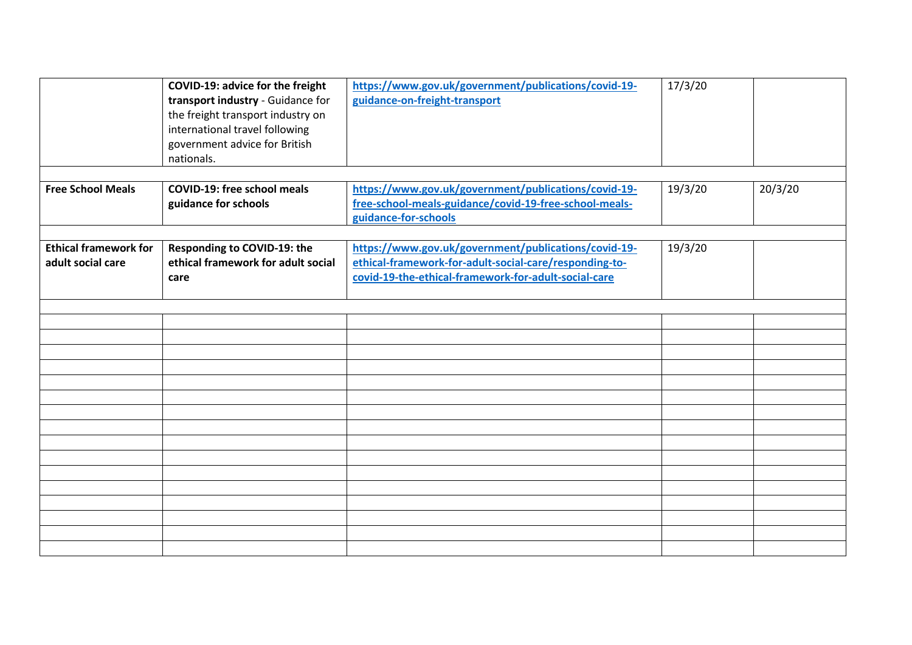<span id="page-11-1"></span><span id="page-11-0"></span>

|                                                   | COVID-19: advice for the freight<br>transport industry - Guidance for<br>the freight transport industry on<br>international travel following<br>government advice for British<br>nationals. | https://www.gov.uk/government/publications/covid-19-<br>guidance-on-freight-transport                                                                                  | 17/3/20 |         |
|---------------------------------------------------|---------------------------------------------------------------------------------------------------------------------------------------------------------------------------------------------|------------------------------------------------------------------------------------------------------------------------------------------------------------------------|---------|---------|
| <b>Free School Meals</b>                          | <b>COVID-19: free school meals</b><br>guidance for schools                                                                                                                                  | https://www.gov.uk/government/publications/covid-19-<br>free-school-meals-guidance/covid-19-free-school-meals-<br>guidance-for-schools                                 | 19/3/20 | 20/3/20 |
| <b>Ethical framework for</b><br>adult social care | Responding to COVID-19: the<br>ethical framework for adult social<br>care                                                                                                                   | https://www.gov.uk/government/publications/covid-19-<br>ethical-framework-for-adult-social-care/responding-to-<br>covid-19-the-ethical-framework-for-adult-social-care | 19/3/20 |         |
|                                                   |                                                                                                                                                                                             |                                                                                                                                                                        |         |         |
|                                                   |                                                                                                                                                                                             |                                                                                                                                                                        |         |         |
|                                                   |                                                                                                                                                                                             |                                                                                                                                                                        |         |         |
|                                                   |                                                                                                                                                                                             |                                                                                                                                                                        |         |         |
|                                                   |                                                                                                                                                                                             |                                                                                                                                                                        |         |         |
|                                                   |                                                                                                                                                                                             |                                                                                                                                                                        |         |         |
|                                                   |                                                                                                                                                                                             |                                                                                                                                                                        |         |         |
|                                                   |                                                                                                                                                                                             |                                                                                                                                                                        |         |         |
|                                                   |                                                                                                                                                                                             |                                                                                                                                                                        |         |         |
|                                                   |                                                                                                                                                                                             |                                                                                                                                                                        |         |         |
|                                                   |                                                                                                                                                                                             |                                                                                                                                                                        |         |         |
|                                                   |                                                                                                                                                                                             |                                                                                                                                                                        |         |         |
|                                                   |                                                                                                                                                                                             |                                                                                                                                                                        |         |         |
|                                                   |                                                                                                                                                                                             |                                                                                                                                                                        |         |         |
|                                                   |                                                                                                                                                                                             |                                                                                                                                                                        |         |         |